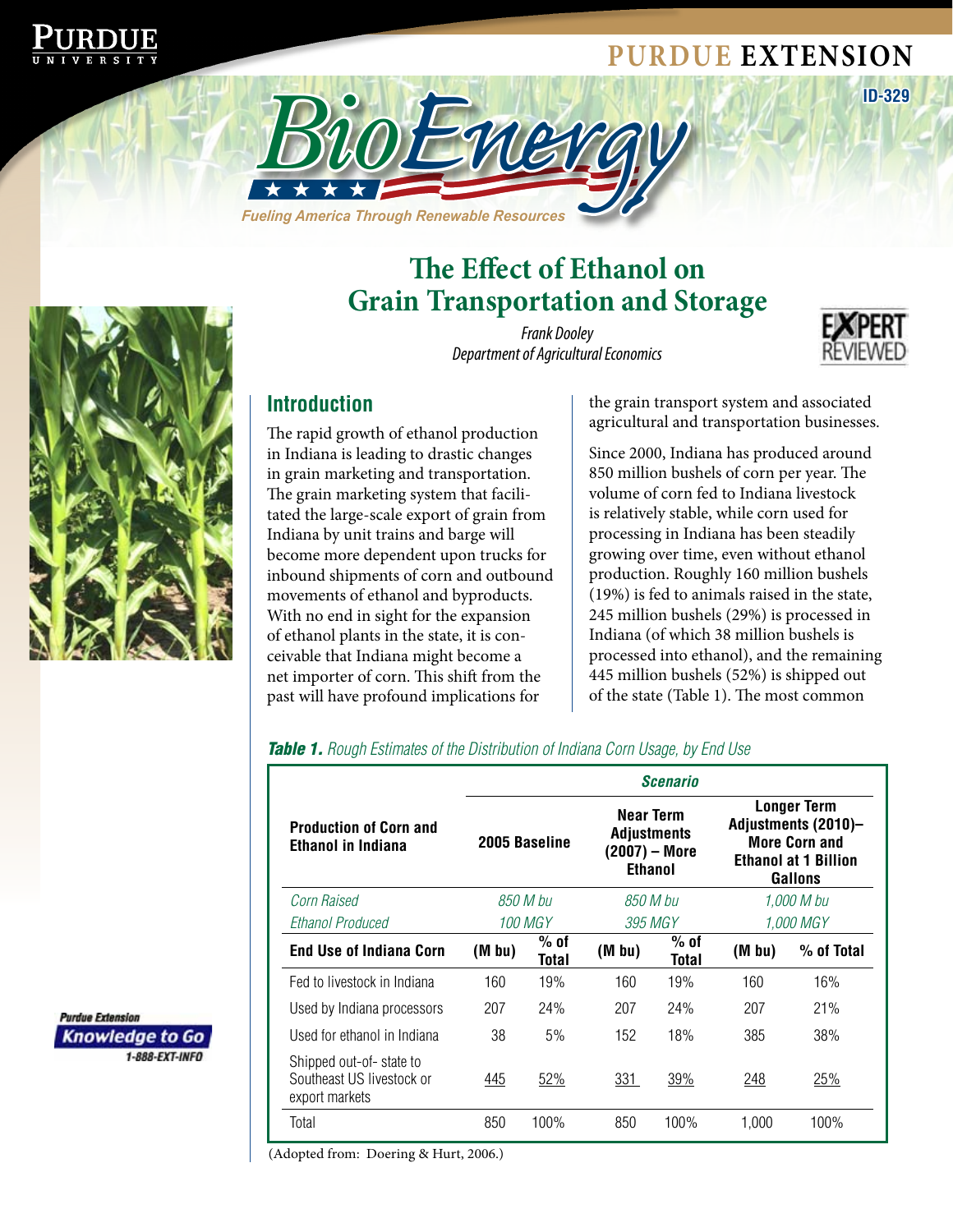**Purdue extension**



# **The Effect of Ethanol on Grain transportation and storage**

*Frank Dooley Department of Agricultural Economics*



**ID-329**



### **Introduction**

The rapid growth of ethanol production in Indiana is leading to drastic changes in grain marketing and transportation. The grain marketing system that facilitated the large-scale export of grain from Indiana by unit trains and barge will become more dependent upon trucks for inbound shipments of corn and outbound movements of ethanol and byproducts. With no end in sight for the expansion of ethanol plants in the state, it is conceivable that Indiana might become a net importer of corn. This shift from the past will have profound implications for

the grain transport system and associated agricultural and transportation businesses.

Since 2000, Indiana has produced around 850 million bushels of corn per year. The volume of corn fed to Indiana livestock is relatively stable, while corn used for processing in Indiana has been steadily growing over time, even without ethanol production. Roughly 160 million bushels (19%) is fed to animals raised in the state, 245 million bushels (29%) is processed in Indiana (of which 38 million bushels is processed into ethanol), and the remaining 445 million bushels (52%) is shipped out of the state (Table 1). The most common

#### *Scenario* **Production of Corn and Ethanol in Indiana 2005 Baseline Near Term Adjustments (2007) – More Ethanol Longer Term Adjustments (2010)– More Corn and Ethanol at 1 Billion Gallons** *Corn Raised 850 M bu 850 M bu 1,000 M bu Ethanol Produced 100 MGY 395 MGY 1,000 MGY* **End Use of Indiana Corn (M bu) % of Total (M bu) % of Total (M bu) % of Total** Fed to livestock in Indiana 160 19% 160 19% 160 16% Used by Indiana processors 207 24% 207 24% 207 21% Used for ethanol in Indiana 38 5% 152 18% 385 38% Shipped out-of- state to Southeast US livestock or 445 52% 331 39% 248 25% export markets Total 850 100% 850 100% 1,000 100%

#### *Table 1. Rough Estimates of the Distribution of Indiana Corn Usage, by End Use*

(Adopted from: Doering & Hurt, 2006.)

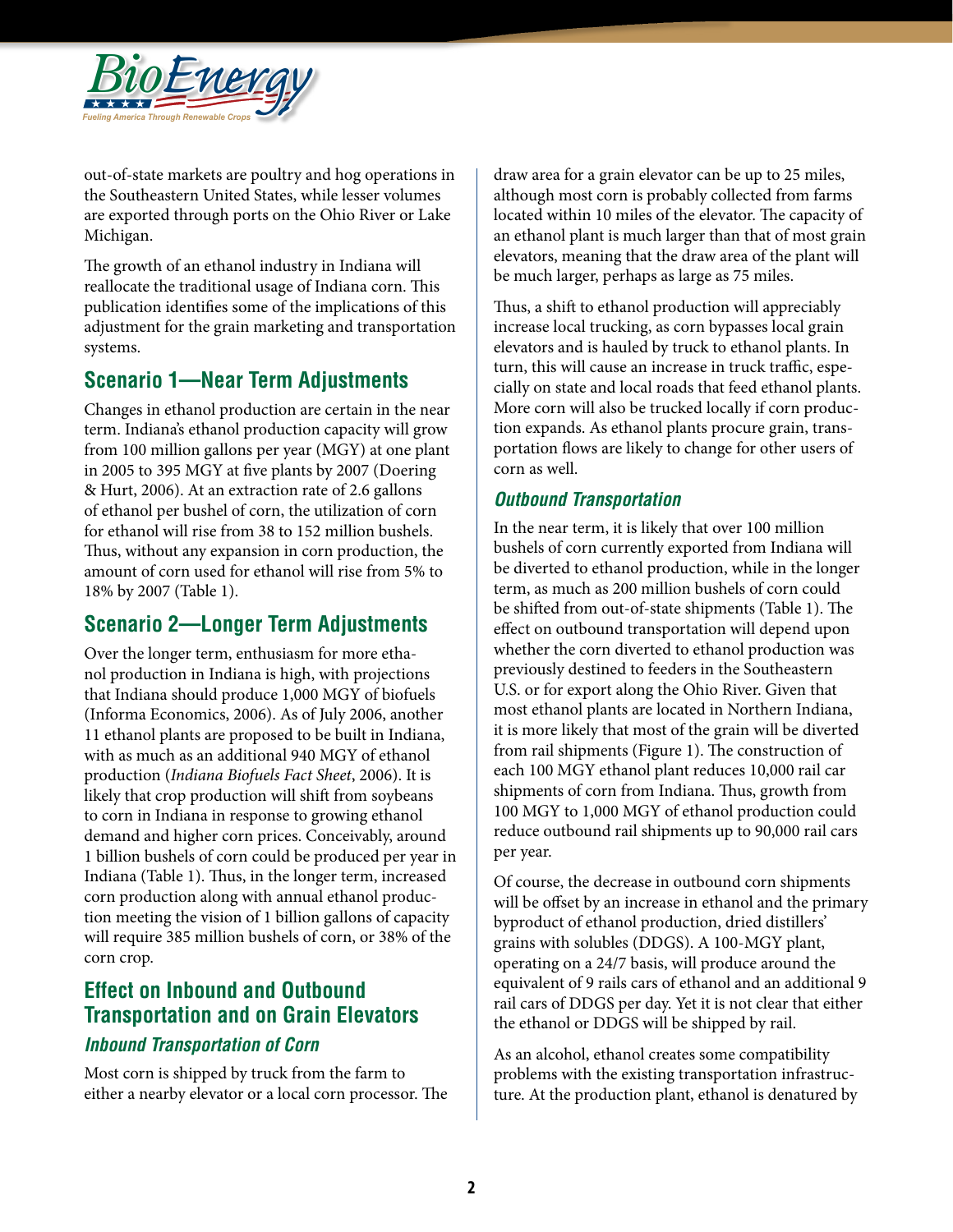

out-of-state markets are poultry and hog operations in the Southeastern United States, while lesser volumes are exported through ports on the Ohio River or Lake Michigan.

The growth of an ethanol industry in Indiana will reallocate the traditional usage of Indiana corn. This publication identifies some of the implications of this adjustment for the grain marketing and transportation systems.

### **Scenario 1—Near Term Adjustments**

Changes in ethanol production are certain in the near term. Indiana's ethanol production capacity will grow from 100 million gallons per year (MGY) at one plant in 2005 to 395 MGY at five plants by 2007 (Doering & Hurt, 2006). At an extraction rate of 2.6 gallons of ethanol per bushel of corn, the utilization of corn for ethanol will rise from 38 to 152 million bushels. Thus, without any expansion in corn production, the amount of corn used for ethanol will rise from 5% to 18% by 2007 (Table 1).

### **Scenario 2—Longer Term Adjustments**

Over the longer term, enthusiasm for more ethanol production in Indiana is high, with projections that Indiana should produce 1,000 MGY of biofuels (Informa Economics, 2006). As of July 2006, another 11 ethanol plants are proposed to be built in Indiana, with as much as an additional 940 MGY of ethanol production (*Indiana Biofuels Fact Sheet*, 2006). It is likely that crop production will shift from soybeans to corn in Indiana in response to growing ethanol demand and higher corn prices. Conceivably, around 1 billion bushels of corn could be produced per year in Indiana (Table 1). Thus, in the longer term, increased corn production along with annual ethanol production meeting the vision of 1 billion gallons of capacity will require 385 million bushels of corn, or 38% of the corn crop.

### **Effect on Inbound and Outbound Transportation and on Grain Elevators**

#### *Inbound Transportation of Corn*

Most corn is shipped by truck from the farm to either a nearby elevator or a local corn processor. The

draw area for a grain elevator can be up to 25 miles, although most corn is probably collected from farms located within 10 miles of the elevator. The capacity of an ethanol plant is much larger than that of most grain elevators, meaning that the draw area of the plant will be much larger, perhaps as large as 75 miles.

Thus, a shift to ethanol production will appreciably increase local trucking, as corn bypasses local grain elevators and is hauled by truck to ethanol plants. In turn, this will cause an increase in truck traffic, especially on state and local roads that feed ethanol plants. More corn will also be trucked locally if corn production expands. As ethanol plants procure grain, transportation flows are likely to change for other users of corn as well.

#### *Outbound Transportation*

In the near term, it is likely that over 100 million bushels of corn currently exported from Indiana will be diverted to ethanol production, while in the longer term, as much as 200 million bushels of corn could be shifted from out-of-state shipments (Table 1). The effect on outbound transportation will depend upon whether the corn diverted to ethanol production was previously destined to feeders in the Southeastern U.S. or for export along the Ohio River. Given that most ethanol plants are located in Northern Indiana, it is more likely that most of the grain will be diverted from rail shipments (Figure 1). The construction of each 100 MGY ethanol plant reduces 10,000 rail car shipments of corn from Indiana. Thus, growth from 100 MGY to 1,000 MGY of ethanol production could reduce outbound rail shipments up to 90,000 rail cars per year.

Of course, the decrease in outbound corn shipments will be offset by an increase in ethanol and the primary byproduct of ethanol production, dried distillers' grains with solubles (DDGS). A 100-MGY plant, operating on a 24/7 basis, will produce around the equivalent of 9 rails cars of ethanol and an additional 9 rail cars of DDGS per day. Yet it is not clear that either the ethanol or DDGS will be shipped by rail.

As an alcohol, ethanol creates some compatibility problems with the existing transportation infrastructure. At the production plant, ethanol is denatured by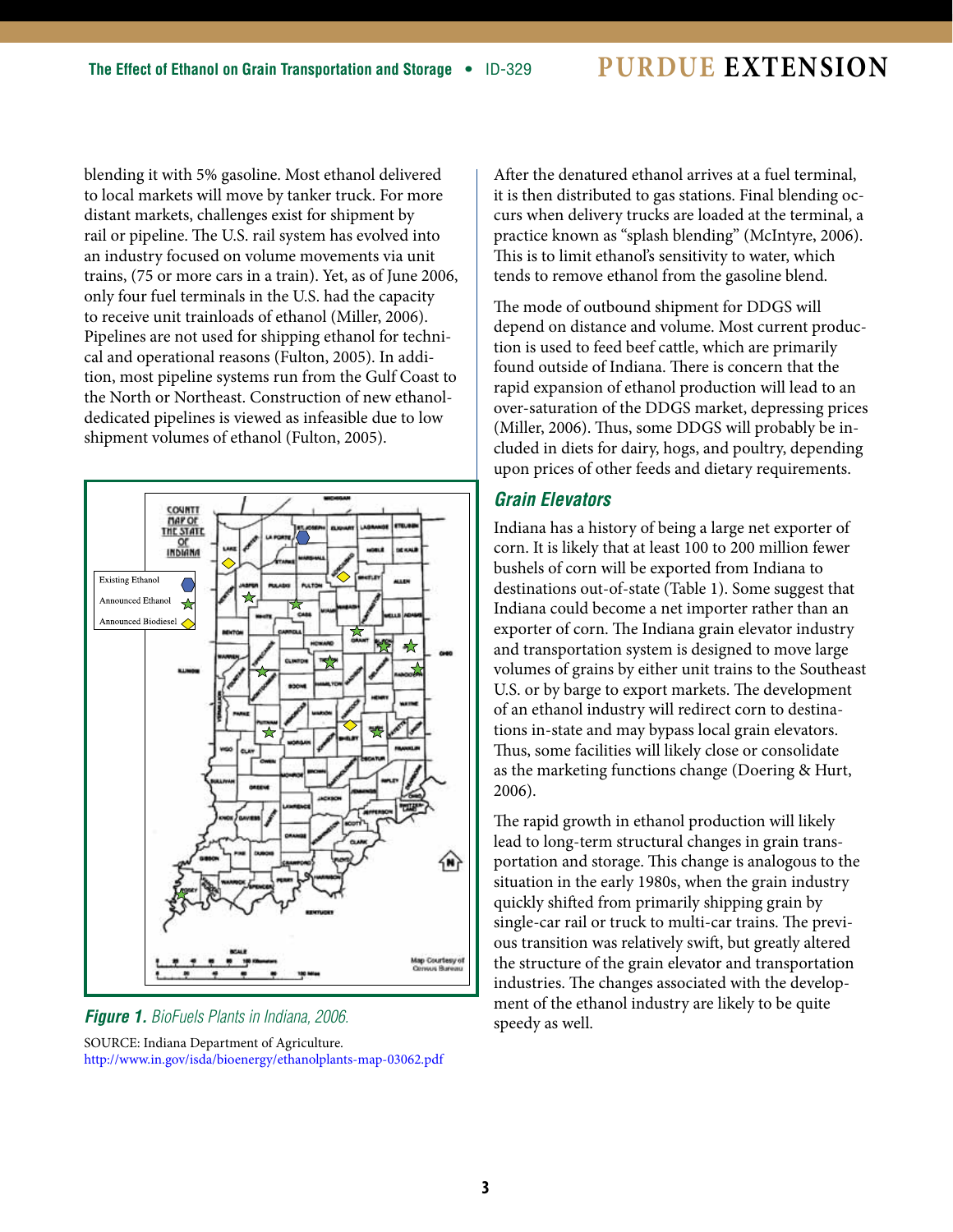blending it with 5% gasoline. Most ethanol delivered to local markets will move by tanker truck. For more distant markets, challenges exist for shipment by rail or pipeline. The U.S. rail system has evolved into an industry focused on volume movements via unit trains, (75 or more cars in a train). Yet, as of June 2006, only four fuel terminals in the U.S. had the capacity to receive unit trainloads of ethanol (Miller, 2006). Pipelines are not used for shipping ethanol for technical and operational reasons (Fulton, 2005). In addition, most pipeline systems run from the Gulf Coast to the North or Northeast. Construction of new ethanoldedicated pipelines is viewed as infeasible due to low shipment volumes of ethanol (Fulton, 2005).



*Figure 1. BioFuels Plants in Indiana, 2006.* 

SOURCE: Indiana Department of Agriculture. http://www.in.gov/isda/bioenergy/ethanolplants-map-03062.pdf After the denatured ethanol arrives at a fuel terminal, it is then distributed to gas stations. Final blending occurs when delivery trucks are loaded at the terminal, a practice known as "splash blending" (McIntyre, 2006). This is to limit ethanol's sensitivity to water, which tends to remove ethanol from the gasoline blend.

The mode of outbound shipment for DDGS will depend on distance and volume. Most current production is used to feed beef cattle, which are primarily found outside of Indiana. There is concern that the rapid expansion of ethanol production will lead to an over-saturation of the DDGS market, depressing prices (Miller, 2006). Thus, some DDGS will probably be included in diets for dairy, hogs, and poultry, depending upon prices of other feeds and dietary requirements.

#### *Grain Elevators*

Indiana has a history of being a large net exporter of corn. It is likely that at least 100 to 200 million fewer bushels of corn will be exported from Indiana to destinations out-of-state (Table 1). Some suggest that Indiana could become a net importer rather than an exporter of corn. The Indiana grain elevator industry and transportation system is designed to move large volumes of grains by either unit trains to the Southeast U.S. or by barge to export markets. The development of an ethanol industry will redirect corn to destinations in-state and may bypass local grain elevators. Thus, some facilities will likely close or consolidate as the marketing functions change (Doering & Hurt, 2006).

The rapid growth in ethanol production will likely lead to long-term structural changes in grain transportation and storage. This change is analogous to the situation in the early 1980s, when the grain industry quickly shifted from primarily shipping grain by single-car rail or truck to multi-car trains. The previous transition was relatively swift, but greatly altered the structure of the grain elevator and transportation industries. The changes associated with the development of the ethanol industry are likely to be quite speedy as well.